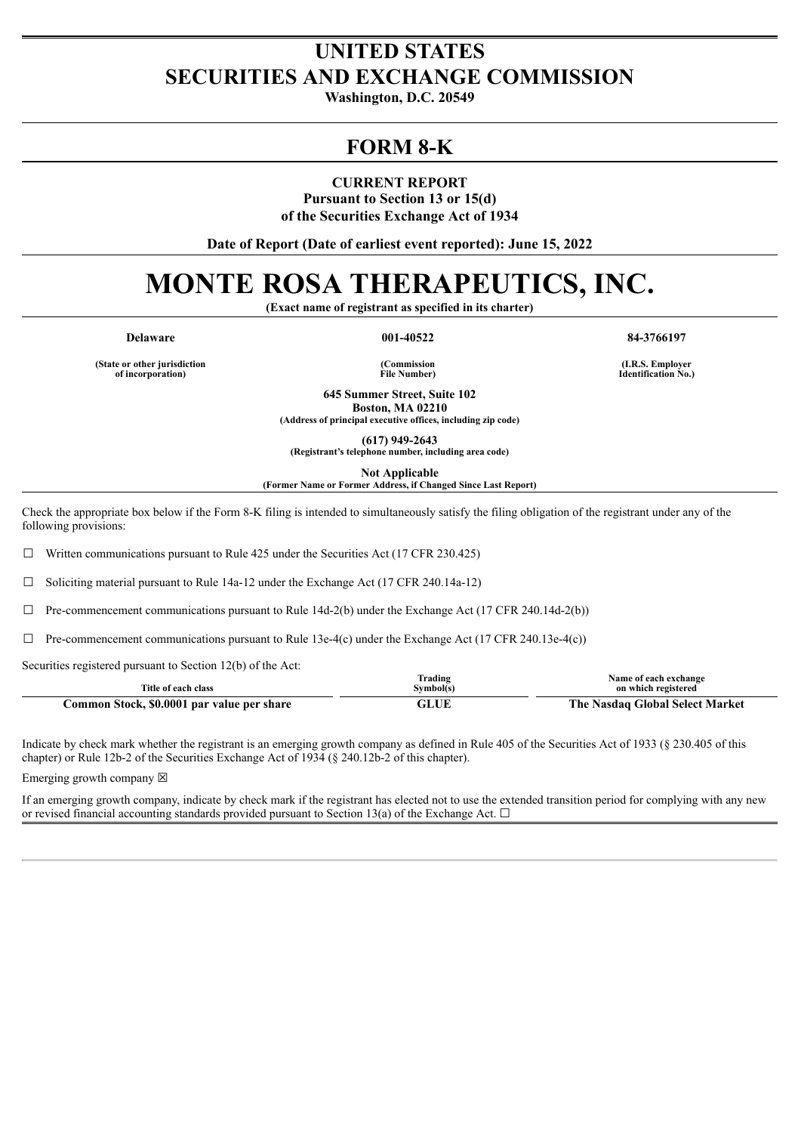## **UNITED STATES SECURITIES AND EXCHANGE COMMISSION**

**Washington, D.C. 20549**

## **FORM 8-K**

**CURRENT REPORT Pursuant to Section 13 or 15(d) of the Securities Exchange Act of 1934**

**Date of Report (Date of earliest event reported): June 15, 2022**

# **MONTE ROSA THERAPEUTICS, INC.**

**(Exact name of registrant as specified in its charter)**

**Delaware 001-40522 84-3766197**

**(State or other jurisdiction of incorporation)**

**(Commission File Number)**

**(I.R.S. Employer Identification No.)**

**645 Summer Street, Suite 102 Boston, MA 02210**

**(Address of principal executive offices, including zip code)**

**(617) 949-2643**

**(Registrant's telephone number, including area code)**

**Not Applicable**

**(Former Name or Former Address, if Changed Since Last Report)**

Check the appropriate box below if the Form 8-K filing is intended to simultaneously satisfy the filing obligation of the registrant under any of the following provisions:

 $\Box$  Written communications pursuant to Rule 425 under the Securities Act (17 CFR 230.425)

 $\Box$  Soliciting material pursuant to Rule 14a-12 under the Exchange Act (17 CFR 240.14a-12)

 $\Box$  Pre-commencement communications pursuant to Rule 14d-2(b) under the Exchange Act (17 CFR 240.14d-2(b))

 $\Box$  Pre-commencement communications pursuant to Rule 13e-4(c) under the Exchange Act (17 CFR 240.13e-4(c))

Securities registered pursuant to Section 12(b) of the Act:

|                                            | Trading   | Name of each exchange                 |
|--------------------------------------------|-----------|---------------------------------------|
| Title of each class                        | Svmbol(s) | on which registered                   |
| Common Stock, \$0.0001 par value per share | GLUE      | : Nasdag Global Select Market<br>rhe. |

Indicate by check mark whether the registrant is an emerging growth company as defined in Rule 405 of the Securities Act of 1933 (§ 230.405 of this chapter) or Rule 12b-2 of the Securities Exchange Act of 1934 (§ 240.12b-2 of this chapter).

Emerging growth company  $\boxtimes$ 

If an emerging growth company, indicate by check mark if the registrant has elected not to use the extended transition period for complying with any new or revised financial accounting standards provided pursuant to Section 13(a) of the Exchange Act.  $\Box$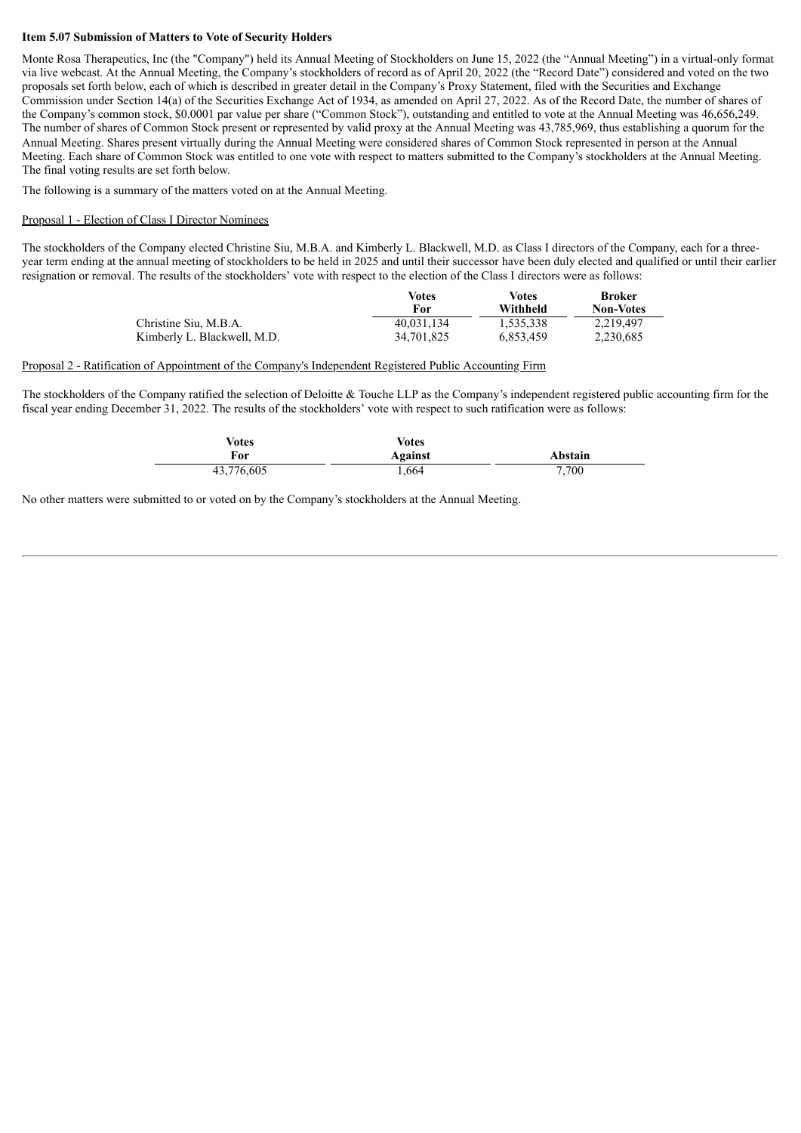#### **Item 5.07 Submission of Matters to Vote of Security Holders**

Monte Rosa Therapeutics, Inc (the "Company") held its Annual Meeting of Stockholders on June 15, 2022 (the "Annual Meeting") in a virtual-only format via live webcast. At the Annual Meeting, the Company's stockholders of record as of April 20, 2022 (the "Record Date") considered and voted on the two proposals set forth below, each of which is described in greater detail in the Company's Proxy Statement, filed with the Securities and Exchange Commission under Section 14(a) of the Securities Exchange Act of 1934, as amended on April 27, 2022. As of the Record Date, the number of shares of the Company's common stock, \$0.0001 par value per share ("Common Stock"), outstanding and entitled to vote at the Annual Meeting was 46,656,249. The number of shares of Common Stock present or represented by valid proxy at the Annual Meeting was 43,785,969, thus establishing a quorum for the Annual Meeting. Shares present virtually during the Annual Meeting were considered shares of Common Stock represented in person at the Annual Meeting. Each share of Common Stock was entitled to one vote with respect to matters submitted to the Company's stockholders at the Annual Meeting. The final voting results are set forth below.

The following is a summary of the matters voted on at the Annual Meeting.

#### Proposal 1 - Election of Class I Director Nominees

The stockholders of the Company elected Christine Siu, M.B.A. and Kimberly L. Blackwell, M.D. as Class I directors of the Company, each for a threeyear term ending at the annual meeting of stockholders to be held in 2025 and until their successor have been duly elected and qualified or until their earlier resignation or removal. The results of the stockholders' vote with respect to the election of the Class I directors were as follows:

|                             | Votes<br>For | Votes<br>Withheld | Broker<br><b>Non-Votes</b> |
|-----------------------------|--------------|-------------------|----------------------------|
| Christine Siu, M.B.A.       | 40.031.134   | 1.535.338         | 2.219.497                  |
| Kimberly L. Blackwell, M.D. | 34.701.825   | 6.853.459         | 2,230,685                  |

#### Proposal 2 - Ratification of Appointment of the Company's Independent Registered Public Accounting Firm

The stockholders of the Company ratified the selection of Deloitte & Touche LLP as the Company's independent registered public accounting firm for the fiscal year ending December 31, 2022. The results of the stockholders' vote with respect to such ratification were as follows:

| Votes      | Votes   |         |
|------------|---------|---------|
| For        | Against | Abstain |
| 43,776,605 | 1.664   | 7,700   |

No other matters were submitted to or voted on by the Company's stockholders at the Annual Meeting.